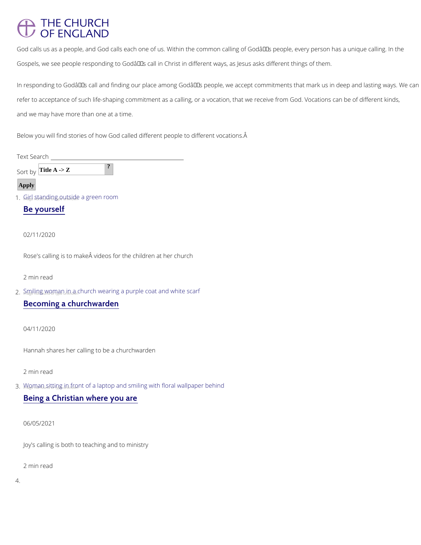# **THE CHURCH** OF ENGLAND

God calls us as a people, and God calls each one of us. Within the common calling of Godâ $\epsilon$ Gospels, we see people responding to Godâ $\epsilon$ <sup>TM</sup>s call in Christ in different ways, as Jesus asl

In responding to God's call and finding our place among God's people, we accept com refer to acceptance of such life-shaping commitment as a calling, or a vocation, that we rece and we may have more than one at a time.

2.Smiling woman in a church wearing a purple coat and white scarf [Becoming a chu](/our-faith/everyday-faith/everyday-stories/becoming-churchwarden)rchwarden

Below you will find stories of how God called different people to different vocations.

Text Search

 $Sort$  Title A -> Z ?

#### Apply

1.  $G_i$ <sub>i</sub> $I_{\rm e}$ l  $_{\rm n}$  $S_{\rm t}$ t<sub>i</sub> $g_{\rm m}$  $d$ <sub>i</sub> $\ln_{\rm t} g_{\rm p}$ <sub>e</sub>o<sub>u</sub> $\mu$ <sub>k</sub>t<sub>n</sub> $S$ <sub>i</sub> $d$ e a green room

[Be you](/our-faith/everyday-faith/everyday-stories/be-yourself)rself

#### 02/11/2020

Rose's calling is to make  $\hat{A}$  videos for the children at her church

2 min read

04/11/2020

Hannah shares her calling to be a churchwarden

#### 2 min read

3. Wagman sitting in front of a laptop and smiling with floral wallpaper behind

# [Being a Christian w](/our-faith/everyday-faith/everyday-stories/being-christian-where-you-are)here you are

Joy's calling is both to teaching and to ministry

2 min read

4.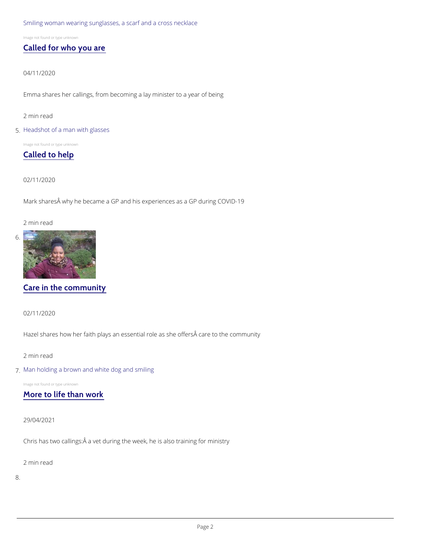[Smiling woman wearing sunglasses, a scarf and a cross necklace](/our-faith/everyday-faith/everyday-stories/called-who-you-are)

Image not found or type unknown

### [Called for wh](/our-faith/everyday-faith/everyday-stories/called-who-you-are)o you are

04/11/2020

Emma shares her callings, from becoming a lay minister to a year of being

2 min read

#### 5[.Headshot of a man with glasses](/our-faith/everyday-faith/everyday-stories/called-help)

Image not found or type unknown

[Called to](/our-faith/everyday-faith/everyday-stories/called-help) help

02/11/2020

Mark shares why he became a GP and his experiences as a GP during COVID-19

2 min read

6[.](/our-faith/everyday-faith/everyday-stories/care-community)

## [Care in the co](/our-faith/everyday-faith/everyday-stories/care-community)mmunity

02/11/2020

Hazel shares how her faith plays an essential role as she offers care to the community

#### 2 min read

7[.Man holding a brown and white dog and smiling](/our-faith/everyday-faith/everyday-stories/more-life-work)

Image not found or type unknown

## [More to life t](/our-faith/everyday-faith/everyday-stories/more-life-work)han work

29/04/2021

### Chris has two callings:Â a vet during the week, he is also training for ministry

2 min read

8.